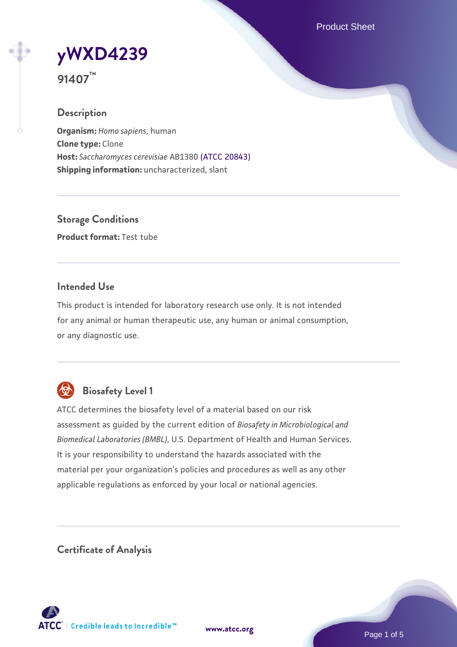Product Sheet

**[yWXD4239](https://www.atcc.org/products/91407)**

**91407™**

### **Description**

**Organism:** *Homo sapiens*, human **Clone type:** Clone **Host:** *Saccharomyces cerevisiae* AB1380 [\(ATCC 20843\)](https://www.atcc.org/products/20843) **Shipping information:** uncharacterized, slant

**Storage Conditions Product format:** Test tube

### **Intended Use**

This product is intended for laboratory research use only. It is not intended for any animal or human therapeutic use, any human or animal consumption, or any diagnostic use.



# **Biosafety Level 1**

ATCC determines the biosafety level of a material based on our risk assessment as guided by the current edition of *Biosafety in Microbiological and Biomedical Laboratories (BMBL)*, U.S. Department of Health and Human Services. It is your responsibility to understand the hazards associated with the material per your organization's policies and procedures as well as any other applicable regulations as enforced by your local or national agencies.

**Certificate of Analysis**

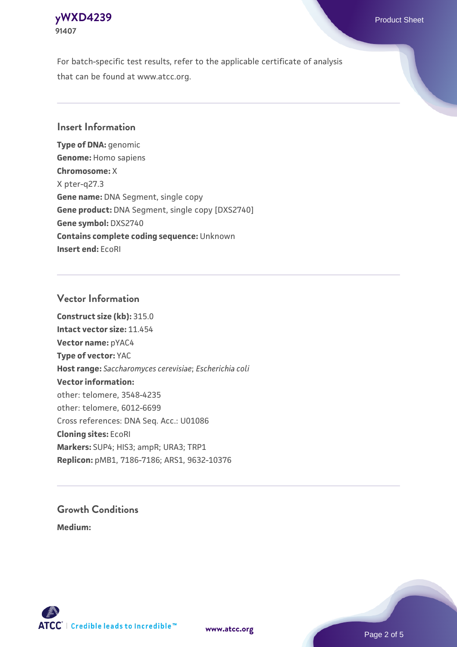### **[yWXD4239](https://www.atcc.org/products/91407)** Product Sheet **91407**

For batch-specific test results, refer to the applicable certificate of analysis that can be found at www.atcc.org.

### **Insert Information**

**Type of DNA:** genomic **Genome:** Homo sapiens **Chromosome:** X X pter-q27.3 **Gene name:** DNA Segment, single copy **Gene product:** DNA Segment, single copy [DXS2740] **Gene symbol:** DXS2740 **Contains complete coding sequence:** Unknown **Insert end:** EcoRI

#### **Vector Information**

**Construct size (kb):** 315.0 **Intact vector size:** 11.454 **Vector name:** pYAC4 **Type of vector:** YAC **Host range:** *Saccharomyces cerevisiae*; *Escherichia coli* **Vector information:** other: telomere, 3548-4235 other: telomere, 6012-6699 Cross references: DNA Seq. Acc.: U01086 **Cloning sites:** EcoRI **Markers:** SUP4; HIS3; ampR; URA3; TRP1 **Replicon:** pMB1, 7186-7186; ARS1, 9632-10376

# **Growth Conditions**

**Medium:** 



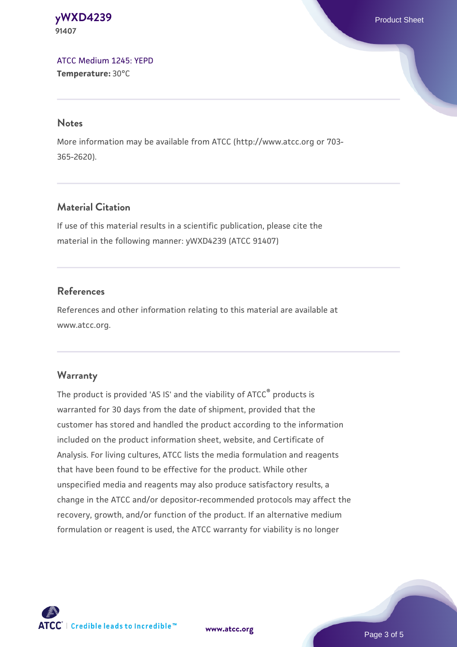#### **[yWXD4239](https://www.atcc.org/products/91407)** Product Sheet **91407**

[ATCC Medium 1245: YEPD](https://www.atcc.org/-/media/product-assets/documents/microbial-media-formulations/1/2/4/5/atcc-medium-1245.pdf?rev=705ca55d1b6f490a808a965d5c072196) **Temperature:** 30°C

#### **Notes**

More information may be available from ATCC (http://www.atcc.org or 703- 365-2620).

# **Material Citation**

If use of this material results in a scientific publication, please cite the material in the following manner: yWXD4239 (ATCC 91407)

# **References**

References and other information relating to this material are available at www.atcc.org.

# **Warranty**

The product is provided 'AS IS' and the viability of ATCC® products is warranted for 30 days from the date of shipment, provided that the customer has stored and handled the product according to the information included on the product information sheet, website, and Certificate of Analysis. For living cultures, ATCC lists the media formulation and reagents that have been found to be effective for the product. While other unspecified media and reagents may also produce satisfactory results, a change in the ATCC and/or depositor-recommended protocols may affect the recovery, growth, and/or function of the product. If an alternative medium formulation or reagent is used, the ATCC warranty for viability is no longer



**[www.atcc.org](http://www.atcc.org)**

Page 3 of 5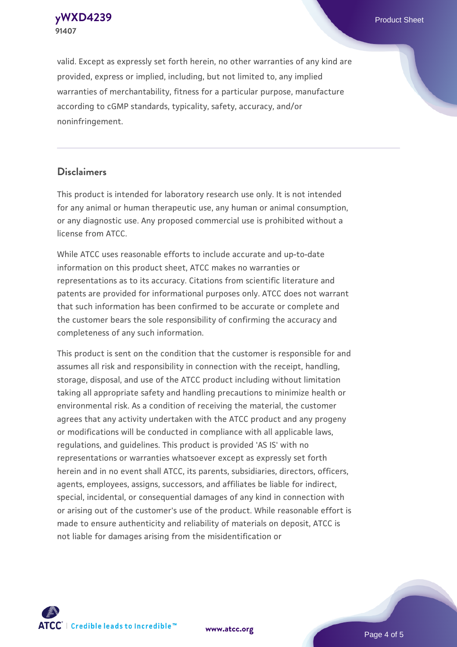**91407**

valid. Except as expressly set forth herein, no other warranties of any kind are provided, express or implied, including, but not limited to, any implied warranties of merchantability, fitness for a particular purpose, manufacture according to cGMP standards, typicality, safety, accuracy, and/or noninfringement.

#### **Disclaimers**

This product is intended for laboratory research use only. It is not intended for any animal or human therapeutic use, any human or animal consumption, or any diagnostic use. Any proposed commercial use is prohibited without a license from ATCC.

While ATCC uses reasonable efforts to include accurate and up-to-date information on this product sheet, ATCC makes no warranties or representations as to its accuracy. Citations from scientific literature and patents are provided for informational purposes only. ATCC does not warrant that such information has been confirmed to be accurate or complete and the customer bears the sole responsibility of confirming the accuracy and completeness of any such information.

This product is sent on the condition that the customer is responsible for and assumes all risk and responsibility in connection with the receipt, handling, storage, disposal, and use of the ATCC product including without limitation taking all appropriate safety and handling precautions to minimize health or environmental risk. As a condition of receiving the material, the customer agrees that any activity undertaken with the ATCC product and any progeny or modifications will be conducted in compliance with all applicable laws, regulations, and guidelines. This product is provided 'AS IS' with no representations or warranties whatsoever except as expressly set forth herein and in no event shall ATCC, its parents, subsidiaries, directors, officers, agents, employees, assigns, successors, and affiliates be liable for indirect, special, incidental, or consequential damages of any kind in connection with or arising out of the customer's use of the product. While reasonable effort is made to ensure authenticity and reliability of materials on deposit, ATCC is not liable for damages arising from the misidentification or



**[www.atcc.org](http://www.atcc.org)**

Page 4 of 5